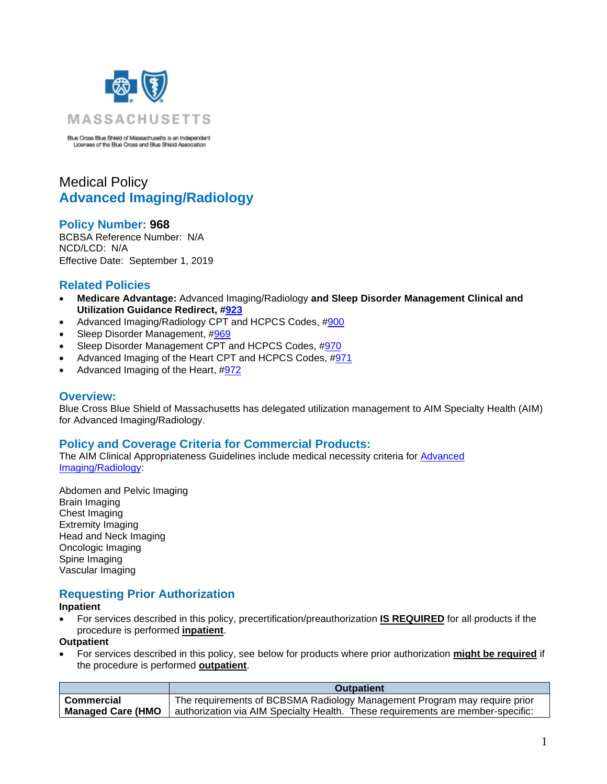

Blue Cross Blue Shield of Massachusetts is an Independent<br>Licensee of the Blue Cross and Blue Shield Association

# Medical Policy **Advanced Imaging/Radiology**

# **Policy Number: 968**

BCBSA Reference Number: N/A NCD/LCD: N/A Effective Date: September 1, 2019

# **Related Policies**

- **Medicare Advantage:** Advanced Imaging/Radiology **and Sleep Disorder Management Clinical and Utilization Guidance Redirect, [#923](http://www.bluecrossma.org/medical-policies/sites/g/files/csphws2091/files/acquiadam-assets/923%20Medicare%20Advantage%20High%20Technology%20Radiology%20&%20Sleep%20Disorder%20Management%20Redirect%20prn.pdf)**
- Advanced Imaging/Radiology CPT and HCPCS Codes, [#900](https://www.bluecrossma.org/medical-policies/sites/g/files/csphws2091/files/acquiadam-assets/900%20AIM%20High%20Technology%20Radiology%20Management%20Program%20CPT%20and%20HCPCS%20Codes%20prn.pdf)
- Sleep Disorder Management, [#969](https://www.bluecrossma.org/medical-policies/sites/g/files/csphws2091/files/acquiadam-assets/969%20Sleep%20Disorder%20Management%20prn.pdf)
- Sleep Disorder Management CPT and HCPCS Codes, [#970](https://www.bluecrossma.org/medical-policies/sites/g/files/csphws2091/files/acquiadam-assets/970%20Sleep%20Disorder%20Management%20CPT%20and%20HCPCS%20Codes%20prn.pdf)
- Advanced Imaging of the Heart CPT and HCPCS Codes, [#971](https://www.bluecrossma.org/medical-policies/sites/g/files/csphws2091/files/acquiadam-assets/971%20Advanced%20Imaging%20of%20the%20Heart%20CPT%20and%20HCPCS%20Codes%20prn.pdf)
- Advanced Imaging of the Heart, [#972](https://www.bluecrossma.org/medical-policies/sites/g/files/csphws2091/files/acquiadam-assets/972%20Advanced%20Imaging%20of%20the%20Heart%20prn.pdf)

### **Overview:**

Blue Cross Blue Shield of Massachusetts has delegated utilization management to AIM Specialty Health (AIM) for Advanced Imaging/Radiology.

### **Policy and Coverage Criteria for Commercial Products:**

The AIM Clinical Appropriateness Guidelines include medical necessity criteria for [Advanced](http://www.aimspecialtyhealth.com/CG-Radiology.html)  [Imaging/Radiology:](http://www.aimspecialtyhealth.com/CG-Radiology.html)

Abdomen and Pelvic Imaging Brain Imaging Chest Imaging Extremity Imaging Head and Neck Imaging Oncologic Imaging Spine Imaging Vascular Imaging

# **Requesting Prior Authorization**

#### **Inpatient**

• For services described in this policy, precertification/preauthorization **IS REQUIRED** for all products if the procedure is performed **inpatient**.

#### **Outpatient**

• For services described in this policy, see below for products where prior authorization **might be required** if the procedure is performed **outpatient**.

|                          | <b>Outpatient</b>                                                               |  |
|--------------------------|---------------------------------------------------------------------------------|--|
| Commercial               | The requirements of BCBSMA Radiology Management Program may require prior       |  |
| <b>Managed Care (HMO</b> | authorization via AIM Specialty Health. These requirements are member-specific: |  |